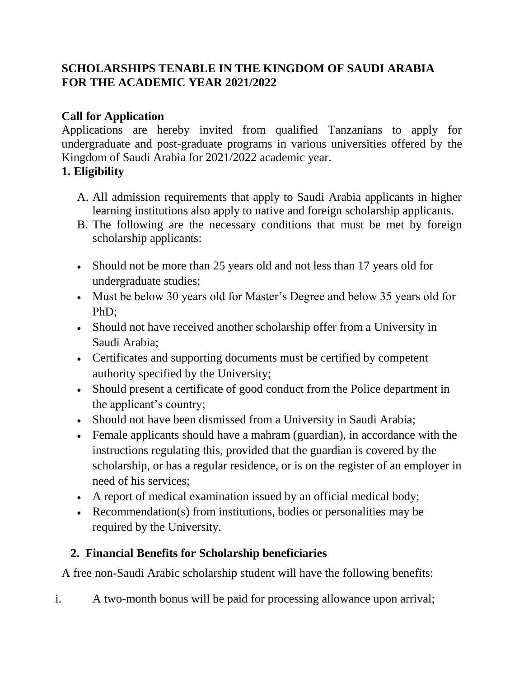## **SCHOLARSHIPS TENABLE IN THE KINGDOM OF SAUDI ARABIA FOR THE ACADEMIC YEAR 2021/2022**

# **Call for Application**

Applications are hereby invited from qualified Tanzanians to apply for undergraduate and post-graduate programs in various universities offered by the Kingdom of Saudi Arabia for 2021/2022 academic year.

## **1. Eligibility**

- A. All admission requirements that apply to Saudi Arabia applicants in higher learning institutions also apply to native and foreign scholarship applicants.
- B. The following are the necessary conditions that must be met by foreign scholarship applicants:
- Should not be more than 25 years old and not less than 17 years old for undergraduate studies;
- Must be below 30 years old for Master's Degree and below 35 years old for PhD;
- Should not have received another scholarship offer from a University in Saudi Arabia;
- Certificates and supporting documents must be certified by competent authority specified by the University;
- Should present a certificate of good conduct from the Police department in the applicant's country;
- Should not have been dismissed from a University in Saudi Arabia;
- Female applicants should have a mahram (guardian), in accordance with the instructions regulating this, provided that the guardian is covered by the scholarship, or has a regular residence, or is on the register of an employer in need of his services;
- A report of medical examination issued by an official medical body;
- Recommendation(s) from institutions, bodies or personalities may be required by the University.

# **2. Financial Benefits for Scholarship beneficiaries**

A free non-Saudi Arabic scholarship student will have the following benefits:

i. A two-month bonus will be paid for processing allowance upon arrival;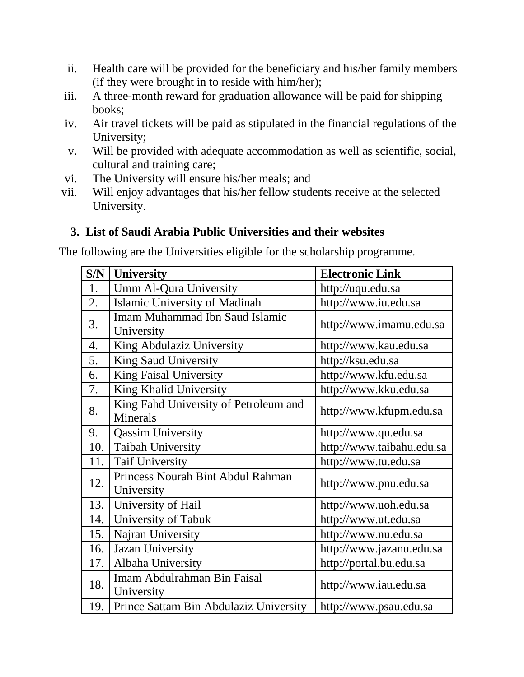- ii. Health care will be provided for the beneficiary and his/her family members (if they were brought in to reside with him/her);
- iii. A three-month reward for graduation allowance will be paid for shipping books;
- iv. Air travel tickets will be paid as stipulated in the financial regulations of the University;
- v. Will be provided with adequate accommodation as well as scientific, social, cultural and training care;
- vi. The University will ensure his/her meals; and
- vii. Will enjoy advantages that his/her fellow students receive at the selected University.

# **3. List of Saudi Arabia Public Universities and their websites**

The following are the Universities eligible for the scholarship programme.

| S/N | <b>University</b>                                        | <b>Electronic Link</b>    |
|-----|----------------------------------------------------------|---------------------------|
| 1.  | <b>Umm Al-Qura University</b>                            | http://uqu.edu.sa         |
| 2.  | Islamic University of Madinah                            | http://www.iu.edu.sa      |
| 3.  | <b>Imam Muhammad Ibn Saud Islamic</b><br>University      | http://www.imamu.edu.sa   |
| 4.  | King Abdulaziz University                                | http://www.kau.edu.sa     |
| 5.  | <b>King Saud University</b>                              | http://ksu.edu.sa         |
| 6.  | <b>King Faisal University</b>                            | http://www.kfu.edu.sa     |
| 7.  | King Khalid University                                   | http://www.kku.edu.sa     |
| 8.  | King Fahd University of Petroleum and<br><b>Minerals</b> | http://www.kfupm.edu.sa   |
| 9.  | <b>Qassim University</b>                                 | http://www.qu.edu.sa      |
| 10. | <b>Taibah University</b>                                 | http://www.taibahu.edu.sa |
| 11. | <b>Taif University</b>                                   | http://www.tu.edu.sa      |
| 12. | Princess Nourah Bint Abdul Rahman<br>University          | http://www.pnu.edu.sa     |
| 13. | University of Hail                                       | http://www.uoh.edu.sa     |
| 14. | University of Tabuk                                      | http://www.ut.edu.sa      |
| 15. | Najran University                                        | http://www.nu.edu.sa      |
| 16. | Jazan University                                         | http://www.jazanu.edu.sa  |
| 17. | Albaha University                                        | http://portal.bu.edu.sa   |
| 18. | Imam Abdulrahman Bin Faisal<br>University                | http://www.iau.edu.sa     |
| 19. | Prince Sattam Bin Abdulaziz University                   | http://www.psau.edu.sa    |